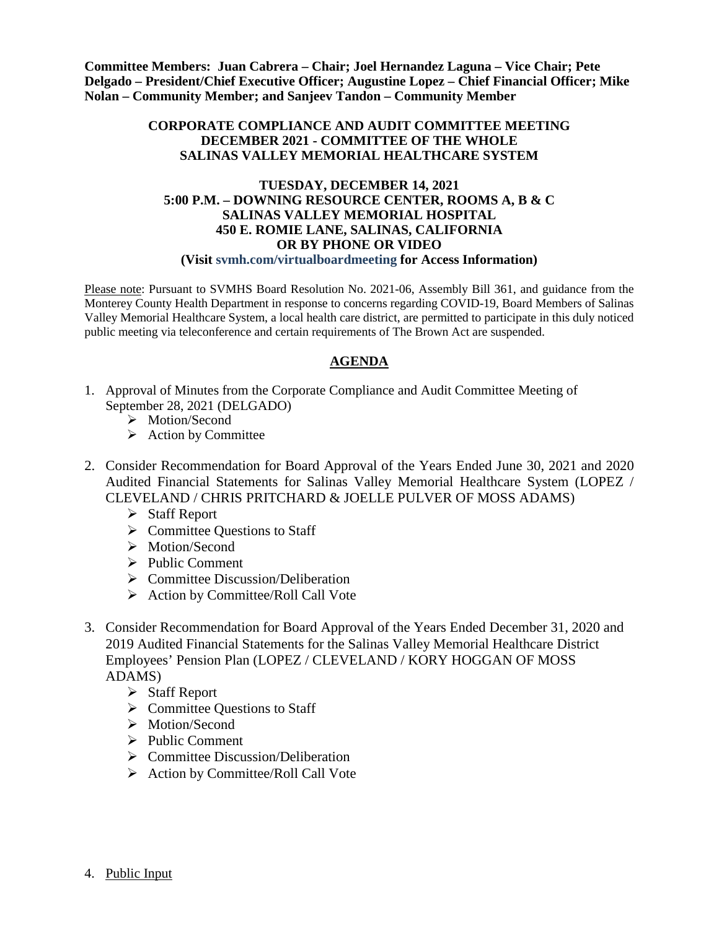**Committee Members: Juan Cabrera – Chair; Joel Hernandez Laguna – Vice Chair; Pete Delgado – President/Chief Executive Officer; Augustine Lopez – Chief Financial Officer; Mike Nolan – Community Member; and Sanjeev Tandon – Community Member**

#### **CORPORATE COMPLIANCE AND AUDIT COMMITTEE MEETING DECEMBER 2021 - COMMITTEE OF THE WHOLE SALINAS VALLEY MEMORIAL HEALTHCARE SYSTEM**

#### **TUESDAY, DECEMBER 14, 2021 5:00 P.M. – DOWNING RESOURCE CENTER, ROOMS A, B & C SALINAS VALLEY MEMORIAL HOSPITAL 450 E. ROMIE LANE, SALINAS, CALIFORNIA OR BY PHONE OR VIDEO (Visit svmh.com/virtualboardmeeting for Access Information)**

Please note: Pursuant to SVMHS Board Resolution No. 2021-06, Assembly Bill 361, and guidance from the Monterey County Health Department in response to concerns regarding COVID-19, Board Members of Salinas Valley Memorial Healthcare System, a local health care district, are permitted to participate in this duly noticed public meeting via teleconference and certain requirements of The Brown Act are suspended.

# **AGENDA**

- 1. Approval of Minutes from the Corporate Compliance and Audit Committee Meeting of September 28, 2021 (DELGADO)
	- > Motion/Second
	- $\triangleright$  Action by Committee
- 2. Consider Recommendation for Board Approval of the Years Ended June 30, 2021 and 2020 Audited Financial Statements for Salinas Valley Memorial Healthcare System (LOPEZ / CLEVELAND / CHRIS PRITCHARD & JOELLE PULVER OF MOSS ADAMS)
	- Staff Report
	- $\triangleright$  Committee Ouestions to Staff
	- > Motion/Second
	- $\triangleright$  Public Comment
	- $\triangleright$  Committee Discussion/Deliberation
	- $\triangleright$  Action by Committee/Roll Call Vote
- 3. Consider Recommendation for Board Approval of the Years Ended December 31, 2020 and 2019 Audited Financial Statements for the Salinas Valley Memorial Healthcare District Employees' Pension Plan (LOPEZ / CLEVELAND / KORY HOGGAN OF MOSS ADAMS)
	- $\triangleright$  Staff Report
	- $\triangleright$  Committee Questions to Staff
	- > Motion/Second
	- $\triangleright$  Public Comment
	- $\triangleright$  Committee Discussion/Deliberation
	- $\triangleright$  Action by Committee/Roll Call Vote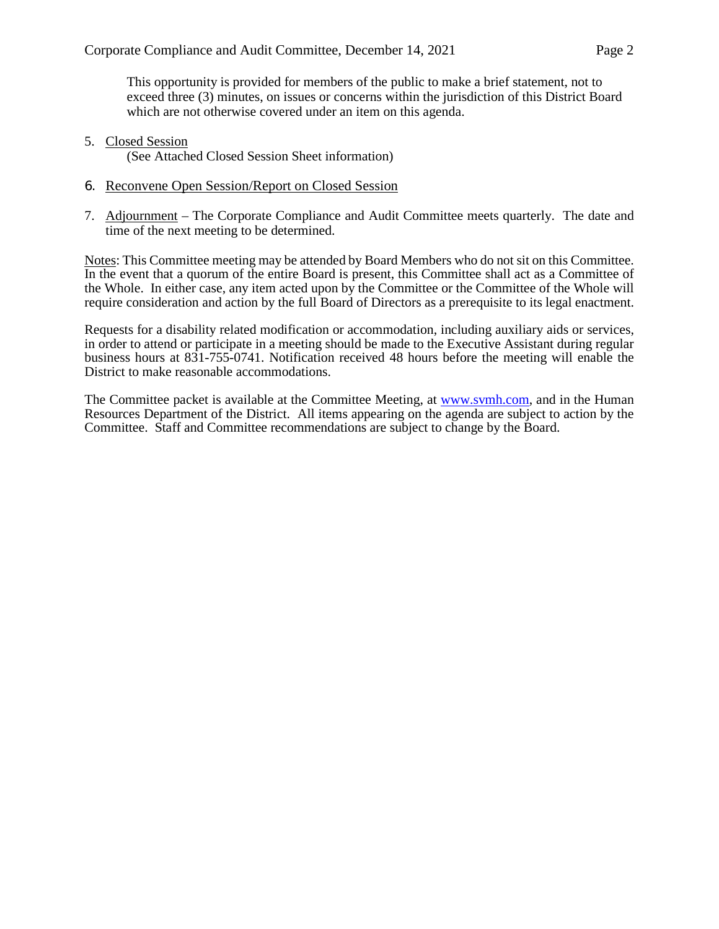This opportunity is provided for members of the public to make a brief statement, not to exceed three (3) minutes, on issues or concerns within the jurisdiction of this District Board which are not otherwise covered under an item on this agenda.

5. Closed Session

(See Attached Closed Session Sheet information)

- 6. Reconvene Open Session/Report on Closed Session
- 7. Adjournment The Corporate Compliance and Audit Committee meets quarterly. The date and time of the next meeting to be determined.

Notes: This Committee meeting may be attended by Board Members who do not sit on this Committee. In the event that a quorum of the entire Board is present, this Committee shall act as a Committee of the Whole. In either case, any item acted upon by the Committee or the Committee of the Whole will require consideration and action by the full Board of Directors as a prerequisite to its legal enactment.

Requests for a disability related modification or accommodation, including auxiliary aids or services, in order to attend or participate in a meeting should be made to the Executive Assistant during regular business hours at 831-755-0741. Notification received 48 hours before the meeting will enable the District to make reasonable accommodations.

The Committee packet is available at the Committee Meeting, at [www.svmh.com,](http://www.svmh.com/) and in the Human Resources Department of the District. All items appearing on the agenda are subject to action by the Committee. Staff and Committee recommendations are subject to change by the Board.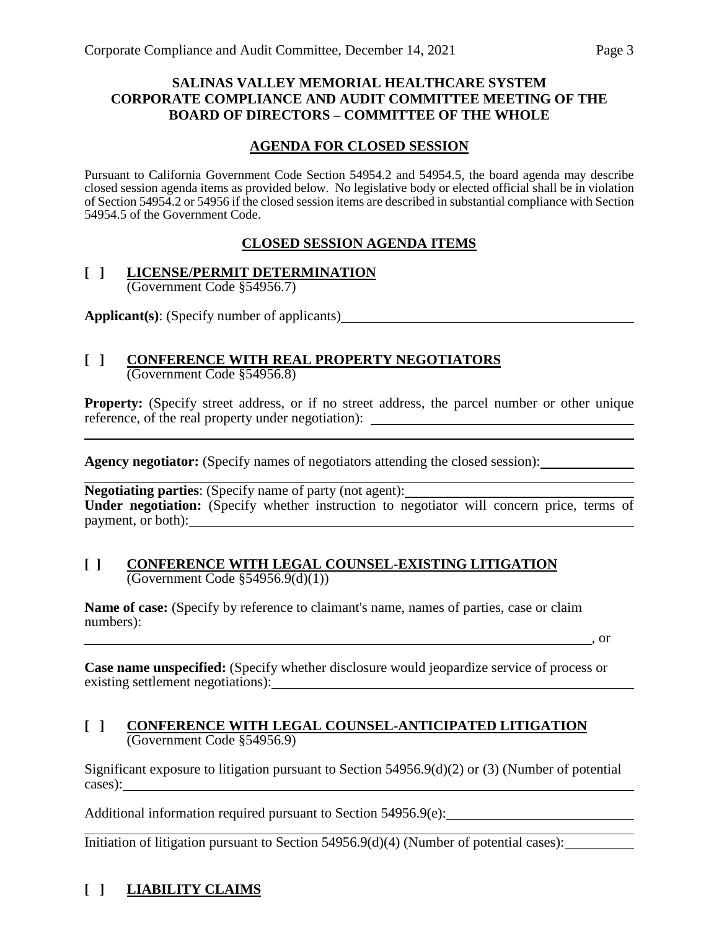# **SALINAS VALLEY MEMORIAL HEALTHCARE SYSTEM CORPORATE COMPLIANCE AND AUDIT COMMITTEE MEETING OF THE BOARD OF DIRECTORS – COMMITTEE OF THE WHOLE**

# **AGENDA FOR CLOSED SESSION**

Pursuant to California Government Code Section 54954.2 and 54954.5, the board agenda may describe closed session agenda items as provided below. No legislative body or elected official shall be in violation of Section 54954.2 or 54956 if the closed session items are described in substantial compliance with Section 54954.5 of the Government Code.

# **CLOSED SESSION AGENDA ITEMS**

#### **[ ] LICENSE/PERMIT DETERMINATION** (Government Code §54956.7)

**Applicant(s)**: (Specify number of applicants)

#### **[ ] CONFERENCE WITH REAL PROPERTY NEGOTIATORS** (Government Code §54956.8)

**Property:** (Specify street address, or if no street address, the parcel number or other unique reference, of the real property under negotiation):

Agency negotiator: (Specify names of negotiators attending the closed session):

**Negotiating parties:** (Specify name of party (not agent): **Under negotiation:** (Specify whether instruction to negotiator will concern price, terms of payment, or both): example and the contract of the contract of the contract of the contract of the contract of the contract of the contract of the contract of the contract of the contract of the contract of the contract of

#### **[ ] CONFERENCE WITH LEGAL COUNSEL-EXISTING LITIGATION** (Government Code §54956.9(d)(1))

**Name of case:** (Specify by reference to claimant's name, names of parties, case or claim numbers): , or

**Case name unspecified:** (Specify whether disclosure would jeopardize service of process or existing settlement negotiations):

# **[ ] CONFERENCE WITH LEGAL COUNSEL-ANTICIPATED LITIGATION** (Government Code §54956.9)

Significant exposure to litigation pursuant to Section 54956.9(d)(2) or (3) (Number of potential cases):

Additional information required pursuant to Section 54956.9(e):

Initiation of litigation pursuant to Section 54956.9(d)(4) (Number of potential cases):

# **[ ] LIABILITY CLAIMS**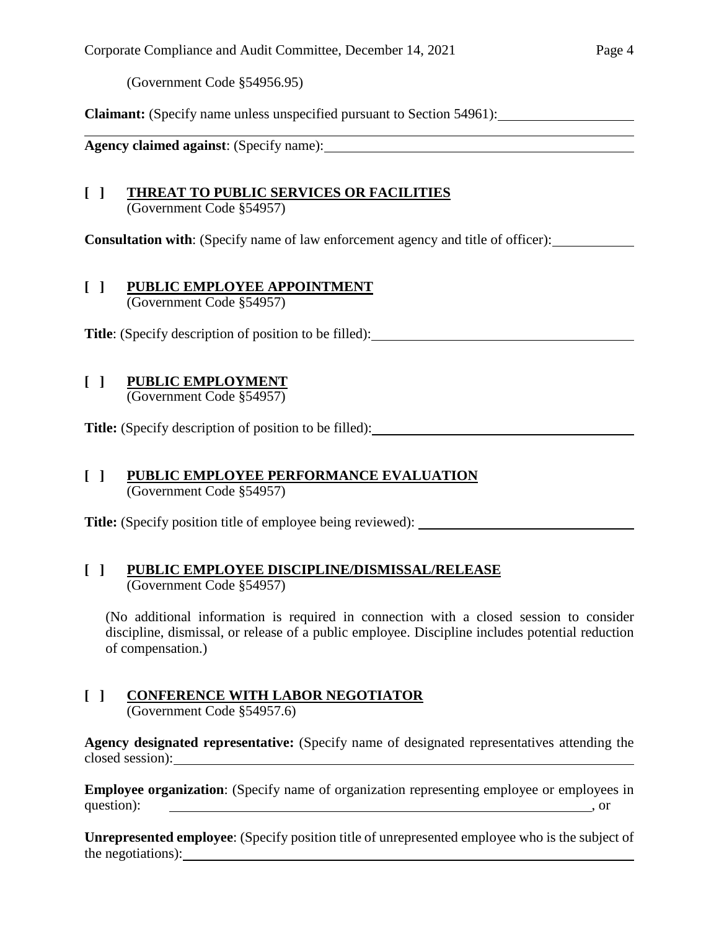(Government Code §54956.95)

**Claimant:** (Specify name unless unspecified pursuant to Section 54961):

**Agency claimed against**: (Specify name):

#### **[ ] THREAT TO PUBLIC SERVICES OR FACILITIES** (Government Code §54957)

**Consultation with**: (Specify name of law enforcement agency and title of officer):

#### **[ ] PUBLIC EMPLOYEE APPOINTMENT** (Government Code §54957)

**Title**: (Specify description of position to be filled):

# **[ ] PUBLIC EMPLOYMENT**

(Government Code §54957)

**Title:** (Specify description of position to be filled):

#### **[ ] PUBLIC EMPLOYEE PERFORMANCE EVALUATION** (Government Code §54957)

**Title:** (Specify position title of employee being reviewed):

# **[ ] PUBLIC EMPLOYEE DISCIPLINE/DISMISSAL/RELEASE** (Government Code §54957)

(No additional information is required in connection with a closed session to consider discipline, dismissal, or release of a public employee. Discipline includes potential reduction of compensation.)

# **[ ] CONFERENCE WITH LABOR NEGOTIATOR**

(Government Code §54957.6)

**Agency designated representative:** (Specify name of designated representatives attending the closed session):

**Employee organization**: (Specify name of organization representing employee or employees in question):  $\qquad \qquad$ , or

**Unrepresented employee**: (Specify position title of unrepresented employee who is the subject of the negotiations):